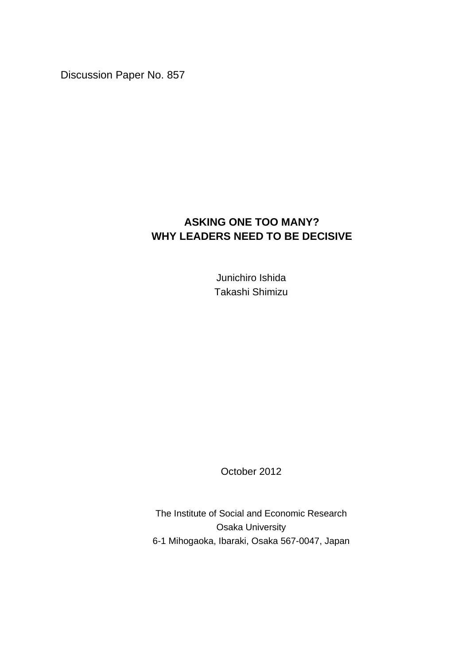Discussion Paper No. 857

## **ASKING ONE TOO MANY? WHY LEADERS NEED TO BE DECISIVE**

Junichiro Ishida Takashi Shimizu

October 2012

The Institute of Social and Economic Research Osaka University 6-1 Mihogaoka, Ibaraki, Osaka 567-0047, Japan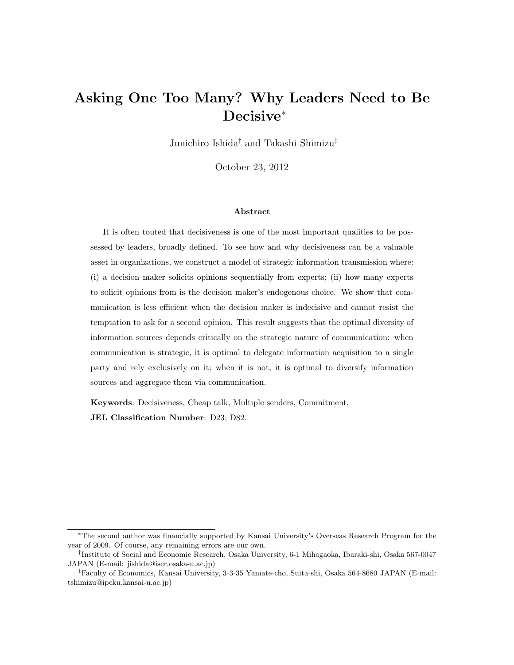# Asking One Too Many? Why Leaders Need to Be Decisive<sup>∗</sup>

Junichiro Ishida† and Takashi Shimizu‡

October 23, 2012

#### Abstract

It is often touted that decisiveness is one of the most important qualities to be possessed by leaders, broadly defined. To see how and why decisiveness can be a valuable asset in organizations, we construct a model of strategic information transmission where: (i) a decision maker solicits opinions sequentially from experts; (ii) how many experts to solicit opinions from is the decision maker's endogenous choice. We show that communication is less efficient when the decision maker is indecisive and cannot resist the temptation to ask for a second opinion. This result suggests that the optimal diversity of information sources depends critically on the strategic nature of communication: when communication is strategic, it is optimal to delegate information acquisition to a single party and rely exclusively on it; when it is not, it is optimal to diversify information sources and aggregate them via communication.

Keywords: Decisiveness, Cheap talk, Multiple senders, Commitment. JEL Classification Number: D23; D82.

<sup>∗</sup>The second author was financially supported by Kansai University's Overseas Research Program for the year of 2009. Of course, any remaining errors are our own.

<sup>†</sup> Institute of Social and Economic Research, Osaka University, 6-1 Mihogaoka, Ibaraki-shi, Osaka 567-0047 JAPAN (E-mail: jishida@iser.osaka-u.ac.jp)

<sup>‡</sup>Faculty of Economics, Kansai University, 3-3-35 Yamate-cho, Suita-shi, Osaka 564-8680 JAPAN (E-mail: tshimizu@ipcku.kansai-u.ac.jp)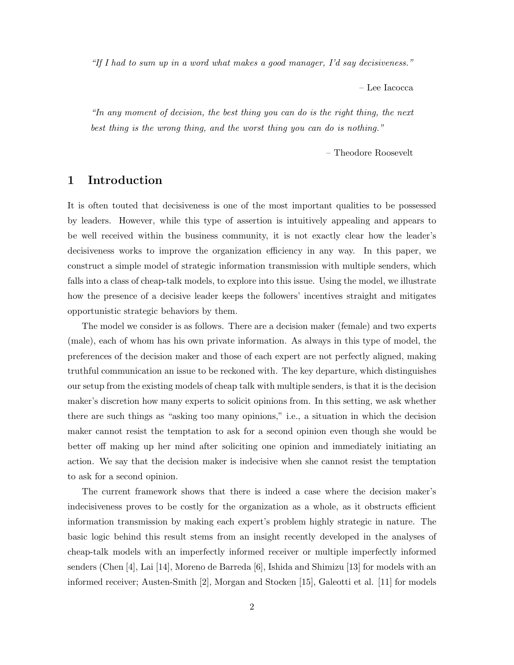"If I had to sum up in a word what makes a good manager, I'd say decisiveness."

– Lee Iacocca

"In any moment of decision, the best thing you can do is the right thing, the next best thing is the wrong thing, and the worst thing you can do is nothing."

– Theodore Roosevelt

## 1 Introduction

It is often touted that decisiveness is one of the most important qualities to be possessed by leaders. However, while this type of assertion is intuitively appealing and appears to be well received within the business community, it is not exactly clear how the leader's decisiveness works to improve the organization efficiency in any way. In this paper, we construct a simple model of strategic information transmission with multiple senders, which falls into a class of cheap-talk models, to explore into this issue. Using the model, we illustrate how the presence of a decisive leader keeps the followers' incentives straight and mitigates opportunistic strategic behaviors by them.

The model we consider is as follows. There are a decision maker (female) and two experts (male), each of whom has his own private information. As always in this type of model, the preferences of the decision maker and those of each expert are not perfectly aligned, making truthful communication an issue to be reckoned with. The key departure, which distinguishes our setup from the existing models of cheap talk with multiple senders, is that it is the decision maker's discretion how many experts to solicit opinions from. In this setting, we ask whether there are such things as "asking too many opinions," i.e., a situation in which the decision maker cannot resist the temptation to ask for a second opinion even though she would be better off making up her mind after soliciting one opinion and immediately initiating an action. We say that the decision maker is indecisive when she cannot resist the temptation to ask for a second opinion.

The current framework shows that there is indeed a case where the decision maker's indecisiveness proves to be costly for the organization as a whole, as it obstructs efficient information transmission by making each expert's problem highly strategic in nature. The basic logic behind this result stems from an insight recently developed in the analyses of cheap-talk models with an imperfectly informed receiver or multiple imperfectly informed senders (Chen [4], Lai [14], Moreno de Barreda [6], Ishida and Shimizu [13] for models with an informed receiver; Austen-Smith [2], Morgan and Stocken [15], Galeotti et al. [11] for models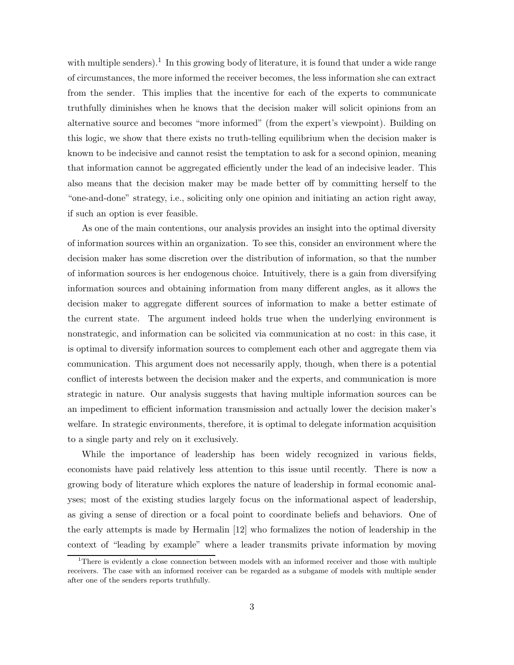with multiple senders).<sup>1</sup> In this growing body of literature, it is found that under a wide range of circumstances, the more informed the receiver becomes, the less information she can extract from the sender. This implies that the incentive for each of the experts to communicate truthfully diminishes when he knows that the decision maker will solicit opinions from an alternative source and becomes "more informed" (from the expert's viewpoint). Building on this logic, we show that there exists no truth-telling equilibrium when the decision maker is known to be indecisive and cannot resist the temptation to ask for a second opinion, meaning that information cannot be aggregated efficiently under the lead of an indecisive leader. This also means that the decision maker may be made better off by committing herself to the "one-and-done" strategy, i.e., soliciting only one opinion and initiating an action right away, if such an option is ever feasible.

As one of the main contentions, our analysis provides an insight into the optimal diversity of information sources within an organization. To see this, consider an environment where the decision maker has some discretion over the distribution of information, so that the number of information sources is her endogenous choice. Intuitively, there is a gain from diversifying information sources and obtaining information from many different angles, as it allows the decision maker to aggregate different sources of information to make a better estimate of the current state. The argument indeed holds true when the underlying environment is nonstrategic, and information can be solicited via communication at no cost: in this case, it is optimal to diversify information sources to complement each other and aggregate them via communication. This argument does not necessarily apply, though, when there is a potential conflict of interests between the decision maker and the experts, and communication is more strategic in nature. Our analysis suggests that having multiple information sources can be an impediment to efficient information transmission and actually lower the decision maker's welfare. In strategic environments, therefore, it is optimal to delegate information acquisition to a single party and rely on it exclusively.

While the importance of leadership has been widely recognized in various fields, economists have paid relatively less attention to this issue until recently. There is now a growing body of literature which explores the nature of leadership in formal economic analyses; most of the existing studies largely focus on the informational aspect of leadership, as giving a sense of direction or a focal point to coordinate beliefs and behaviors. One of the early attempts is made by Hermalin [12] who formalizes the notion of leadership in the context of "leading by example" where a leader transmits private information by moving

<sup>&</sup>lt;sup>1</sup>There is evidently a close connection between models with an informed receiver and those with multiple receivers. The case with an informed receiver can be regarded as a subgame of models with multiple sender after one of the senders reports truthfully.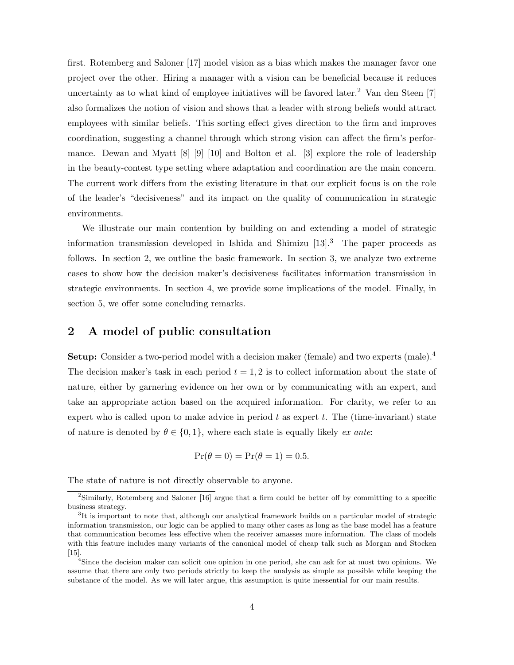first. Rotemberg and Saloner [17] model vision as a bias which makes the manager favor one project over the other. Hiring a manager with a vision can be beneficial because it reduces uncertainty as to what kind of employee initiatives will be favored later.<sup>2</sup> Van den Steen  $[7]$ also formalizes the notion of vision and shows that a leader with strong beliefs would attract employees with similar beliefs. This sorting effect gives direction to the firm and improves coordination, suggesting a channel through which strong vision can affect the firm's performance. Dewan and Myatt [8] [9] [10] and Bolton et al. [3] explore the role of leadership in the beauty-contest type setting where adaptation and coordination are the main concern. The current work differs from the existing literature in that our explicit focus is on the role of the leader's "decisiveness" and its impact on the quality of communication in strategic environments.

We illustrate our main contention by building on and extending a model of strategic information transmission developed in Ishida and Shimizu  $[13]$ <sup>3</sup>. The paper proceeds as follows. In section 2, we outline the basic framework. In section 3, we analyze two extreme cases to show how the decision maker's decisiveness facilitates information transmission in strategic environments. In section 4, we provide some implications of the model. Finally, in section 5, we offer some concluding remarks.

## 2 A model of public consultation

Setup: Consider a two-period model with a decision maker (female) and two experts (male).<sup>4</sup> The decision maker's task in each period  $t = 1, 2$  is to collect information about the state of nature, either by garnering evidence on her own or by communicating with an expert, and take an appropriate action based on the acquired information. For clarity, we refer to an expert who is called upon to make advice in period  $t$  as expert  $t$ . The (time-invariant) state of nature is denoted by  $\theta \in \{0,1\}$ , where each state is equally likely ex ante:

$$
Pr(\theta = 0) = Pr(\theta = 1) = 0.5.
$$

The state of nature is not directly observable to anyone.

<sup>&</sup>lt;sup>2</sup>Similarly, Rotemberg and Saloner [16] argue that a firm could be better off by committing to a specific business strategy.

<sup>&</sup>lt;sup>3</sup>It is important to note that, although our analytical framework builds on a particular model of strategic information transmission, our logic can be applied to many other cases as long as the base model has a feature that communication becomes less effective when the receiver amasses more information. The class of models with this feature includes many variants of the canonical model of cheap talk such as Morgan and Stocken [15].

<sup>&</sup>lt;sup>4</sup>Since the decision maker can solicit one opinion in one period, she can ask for at most two opinions. We assume that there are only two periods strictly to keep the analysis as simple as possible while keeping the substance of the model. As we will later argue, this assumption is quite inessential for our main results.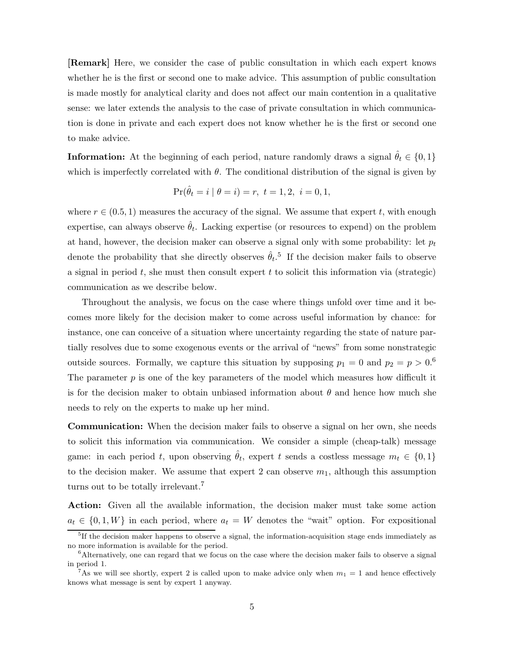[Remark] Here, we consider the case of public consultation in which each expert knows whether he is the first or second one to make advice. This assumption of public consultation is made mostly for analytical clarity and does not affect our main contention in a qualitative sense: we later extends the analysis to the case of private consultation in which communication is done in private and each expert does not know whether he is the first or second one to make advice.

**Information:** At the beginning of each period, nature randomly draws a signal  $\hat{\theta}_t \in \{0, 1\}$ which is imperfectly correlated with  $\theta$ . The conditional distribution of the signal is given by

$$
\Pr(\hat{\theta}_t = i \mid \theta = i) = r, \ t = 1, 2, \ i = 0, 1,
$$

where  $r \in (0.5, 1)$  measures the accuracy of the signal. We assume that expert t, with enough expertise, can always observe  $\hat{\theta}_t$ . Lacking expertise (or resources to expend) on the problem at hand, however, the decision maker can observe a signal only with some probability: let  $p_t$ denote the probability that she directly observes  $\hat{\theta}_t$ .<sup>5</sup> If the decision maker fails to observe a signal in period  $t$ , she must then consult expert  $t$  to solicit this information via (strategic) communication as we describe below.

Throughout the analysis, we focus on the case where things unfold over time and it becomes more likely for the decision maker to come across useful information by chance: for instance, one can conceive of a situation where uncertainty regarding the state of nature partially resolves due to some exogenous events or the arrival of "news" from some nonstrategic outside sources. Formally, we capture this situation by supposing  $p_1 = 0$  and  $p_2 = p > 0.6$ The parameter  $p$  is one of the key parameters of the model which measures how difficult it is for the decision maker to obtain unbiased information about  $\theta$  and hence how much she needs to rely on the experts to make up her mind.

Communication: When the decision maker fails to observe a signal on her own, she needs to solicit this information via communication. We consider a simple (cheap-talk) message game: in each period t, upon observing  $\hat{\theta}_t$ , expert t sends a costless message  $m_t \in \{0, 1\}$ to the decision maker. We assume that expert 2 can observe  $m_1$ , although this assumption turns out to be totally irrelevant.<sup>7</sup>

Action: Given all the available information, the decision maker must take some action  $a_t \in \{0, 1, W\}$  in each period, where  $a_t = W$  denotes the "wait" option. For expositional

<sup>&</sup>lt;sup>5</sup>If the decision maker happens to observe a signal, the information-acquisition stage ends immediately as no more information is available for the period.

<sup>&</sup>lt;sup>6</sup>Alternatively, one can regard that we focus on the case where the decision maker fails to observe a signal in period 1.

<sup>&</sup>lt;sup>7</sup>As we will see shortly, expert 2 is called upon to make advice only when  $m_1 = 1$  and hence effectively knows what message is sent by expert 1 anyway.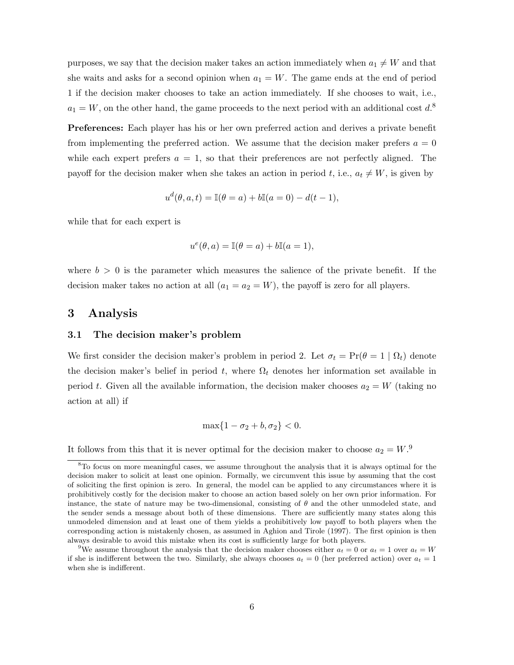purposes, we say that the decision maker takes an action immediately when  $a_1 \neq W$  and that she waits and asks for a second opinion when  $a_1 = W$ . The game ends at the end of period 1 if the decision maker chooses to take an action immediately. If she chooses to wait, i.e.,  $a_1 = W$ , on the other hand, the game proceeds to the next period with an additional cost  $d^8$ .

Preferences: Each player has his or her own preferred action and derives a private benefit from implementing the preferred action. We assume that the decision maker prefers  $a = 0$ while each expert prefers  $a = 1$ , so that their preferences are not perfectly aligned. The payoff for the decision maker when she takes an action in period t, i.e.,  $a_t \neq W$ , is given by

$$
u^{d}(\theta, a, t) = \mathbb{I}(\theta = a) + b\mathbb{I}(a = 0) - d(t - 1),
$$

while that for each expert is

$$
u^{e}(\theta, a) = \mathbb{I}(\theta = a) + b\mathbb{I}(a = 1),
$$

where  $b > 0$  is the parameter which measures the salience of the private benefit. If the decision maker takes no action at all  $(a_1 = a_2 = W)$ , the payoff is zero for all players.

## 3 Analysis

### 3.1 The decision maker's problem

We first consider the decision maker's problem in period 2. Let  $\sigma_t = \Pr(\theta = 1 | \Omega_t)$  denote the decision maker's belief in period t, where  $\Omega_t$  denotes her information set available in period t. Given all the available information, the decision maker chooses  $a_2 = W$  (taking no action at all) if

$$
\max\{1-\sigma_2+b,\sigma_2\}<0.
$$

It follows from this that it is never optimal for the decision maker to choose  $a_2 = W$ .

<sup>&</sup>lt;sup>8</sup>To focus on more meaningful cases, we assume throughout the analysis that it is always optimal for the decision maker to solicit at least one opinion. Formally, we circumvent this issue by assuming that the cost of soliciting the first opinion is zero. In general, the model can be applied to any circumstances where it is prohibitively costly for the decision maker to choose an action based solely on her own prior information. For instance, the state of nature may be two-dimensional, consisting of  $\theta$  and the other unmodeled state, and the sender sends a message about both of these dimensions. There are sufficiently many states along this unmodeled dimension and at least one of them yields a prohibitively low payoff to both players when the corresponding action is mistakenly chosen, as assumed in Aghion and Tirole (1997). The first opinion is then always desirable to avoid this mistake when its cost is sufficiently large for both players.

<sup>&</sup>lt;sup>9</sup>We assume throughout the analysis that the decision maker chooses either  $a_t = 0$  or  $a_t = 1$  over  $a_t = W$ if she is indifferent between the two. Similarly, she always chooses  $a_t = 0$  (her preferred action) over  $a_t = 1$ when she is indifferent.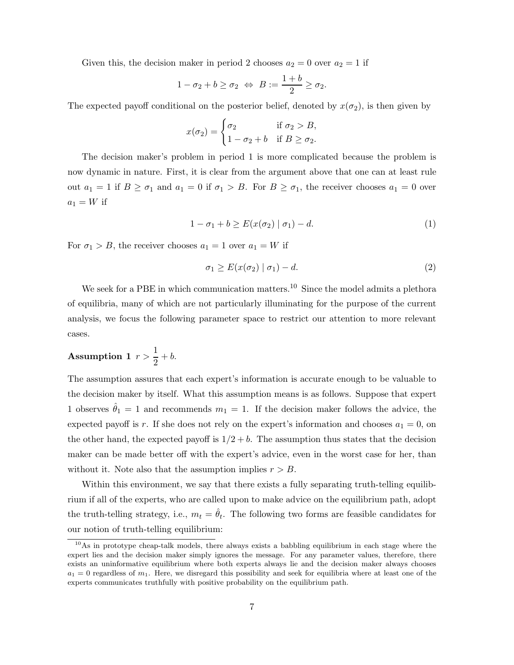Given this, the decision maker in period 2 chooses  $a_2 = 0$  over  $a_2 = 1$  if

$$
1 - \sigma_2 + b \ge \sigma_2 \Leftrightarrow B := \frac{1+b}{2} \ge \sigma_2.
$$

The expected payoff conditional on the posterior belief, denoted by  $x(\sigma_2)$ , is then given by

$$
x(\sigma_2) = \begin{cases} \sigma_2 & \text{if } \sigma_2 > B, \\ 1 - \sigma_2 + b & \text{if } B \ge \sigma_2. \end{cases}
$$

The decision maker's problem in period 1 is more complicated because the problem is now dynamic in nature. First, it is clear from the argument above that one can at least rule out  $a_1 = 1$  if  $B \ge \sigma_1$  and  $a_1 = 0$  if  $\sigma_1 > B$ . For  $B \ge \sigma_1$ , the receiver chooses  $a_1 = 0$  over  $a_1 = W$  if

$$
1 - \sigma_1 + b \ge E(x(\sigma_2) | \sigma_1) - d. \tag{1}
$$

For  $\sigma_1 > B$ , the receiver chooses  $a_1 = 1$  over  $a_1 = W$  if

$$
\sigma_1 \ge E(x(\sigma_2) \mid \sigma_1) - d. \tag{2}
$$

We seek for a PBE in which communication matters.<sup>10</sup> Since the model admits a plethora of equilibria, many of which are not particularly illuminating for the purpose of the current analysis, we focus the following parameter space to restrict our attention to more relevant cases.

## Assumption 1  $r > \frac{1}{2}$  $\frac{1}{2} + b$ .

The assumption assures that each expert's information is accurate enough to be valuable to the decision maker by itself. What this assumption means is as follows. Suppose that expert 1 observes  $\hat{\theta}_1 = 1$  and recommends  $m_1 = 1$ . If the decision maker follows the advice, the expected payoff is r. If she does not rely on the expert's information and chooses  $a_1 = 0$ , on the other hand, the expected payoff is  $1/2 + b$ . The assumption thus states that the decision maker can be made better off with the expert's advice, even in the worst case for her, than without it. Note also that the assumption implies  $r > B$ .

Within this environment, we say that there exists a fully separating truth-telling equilibrium if all of the experts, who are called upon to make advice on the equilibrium path, adopt the truth-telling strategy, i.e.,  $m_t = \hat{\theta}_t$ . The following two forms are feasible candidates for our notion of truth-telling equilibrium:

<sup>10</sup>As in prototype cheap-talk models, there always exists a babbling equilibrium in each stage where the expert lies and the decision maker simply ignores the message. For any parameter values, therefore, there exists an uninformative equilibrium where both experts always lie and the decision maker always chooses  $a_1 = 0$  regardless of  $m_1$ . Here, we disregard this possibility and seek for equilibria where at least one of the experts communicates truthfully with positive probability on the equilibrium path.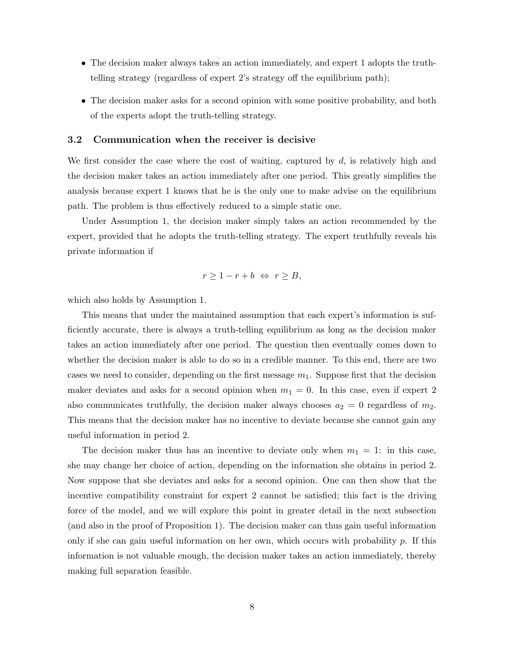- The decision maker always takes an action immediately, and expert 1 adopts the truthtelling strategy (regardless of expert 2's strategy off the equilibrium path);
- The decision maker asks for a second opinion with some positive probability, and both of the experts adopt the truth-telling strategy.

#### 3.2 Communication when the receiver is decisive

We first consider the case where the cost of waiting, captured by  $d$ , is relatively high and the decision maker takes an action immediately after one period. This greatly simplifies the analysis because expert 1 knows that he is the only one to make advise on the equilibrium path. The problem is thus effectively reduced to a simple static one.

Under Assumption 1, the decision maker simply takes an action recommended by the expert, provided that he adopts the truth-telling strategy. The expert truthfully reveals his private information if

$$
r \ge 1 - r + b \Leftrightarrow r \ge B,
$$

which also holds by Assumption 1.

This means that under the maintained assumption that each expert's information is sufficiently accurate, there is always a truth-telling equilibrium as long as the decision maker takes an action immediately after one period. The question then eventually comes down to whether the decision maker is able to do so in a credible manner. To this end, there are two cases we need to consider, depending on the first message  $m_1$ . Suppose first that the decision maker deviates and asks for a second opinion when  $m_1 = 0$ . In this case, even if expert 2 also communicates truthfully, the decision maker always chooses  $a_2 = 0$  regardless of  $m_2$ . This means that the decision maker has no incentive to deviate because she cannot gain any useful information in period 2.

The decision maker thus has an incentive to deviate only when  $m_1 = 1$ : in this case, she may change her choice of action, depending on the information she obtains in period 2. Now suppose that she deviates and asks for a second opinion. One can then show that the incentive compatibility constraint for expert 2 cannot be satisfied; this fact is the driving force of the model, and we will explore this point in greater detail in the next subsection (and also in the proof of Proposition 1). The decision maker can thus gain useful information only if she can gain useful information on her own, which occurs with probability  $p$ . If this information is not valuable enough, the decision maker takes an action immediately, thereby making full separation feasible.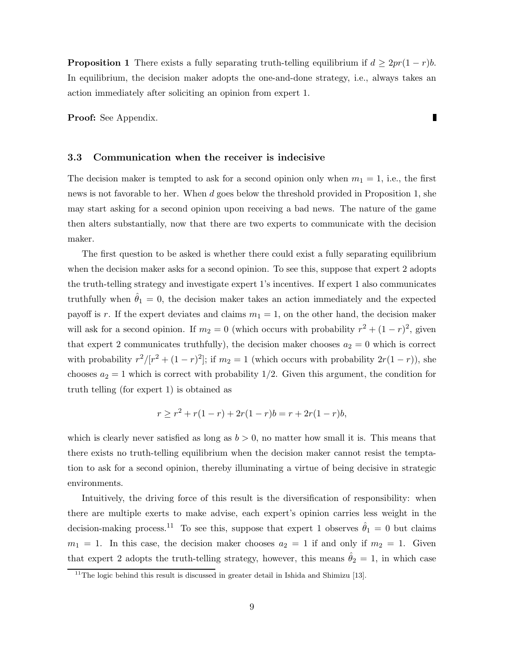**Proposition 1** There exists a fully separating truth-telling equilibrium if  $d \geq 2pr(1-r)b$ . In equilibrium, the decision maker adopts the one-and-done strategy, i.e., always takes an action immediately after soliciting an opinion from expert 1.

Proof: See Appendix.

#### 3.3 Communication when the receiver is indecisive

The decision maker is tempted to ask for a second opinion only when  $m_1 = 1$ , i.e., the first news is not favorable to her. When d goes below the threshold provided in Proposition 1, she may start asking for a second opinion upon receiving a bad news. The nature of the game then alters substantially, now that there are two experts to communicate with the decision maker.

The first question to be asked is whether there could exist a fully separating equilibrium when the decision maker asks for a second opinion. To see this, suppose that expert 2 adopts the truth-telling strategy and investigate expert 1's incentives. If expert 1 also communicates truthfully when  $\theta_1 = 0$ , the decision maker takes an action immediately and the expected payoff is r. If the expert deviates and claims  $m_1 = 1$ , on the other hand, the decision maker will ask for a second opinion. If  $m_2 = 0$  (which occurs with probability  $r^2 + (1 - r)^2$ , given that expert 2 communicates truthfully), the decision maker chooses  $a_2 = 0$  which is correct with probability  $r^2/[r^2 + (1 - r)^2]$ ; if  $m_2 = 1$  (which occurs with probability  $2r(1 - r)$ ), she chooses  $a_2 = 1$  which is correct with probability 1/2. Given this argument, the condition for truth telling (for expert 1) is obtained as

$$
r \ge r^2 + r(1 - r) + 2r(1 - r)b = r + 2r(1 - r)b,
$$

which is clearly never satisfied as long as  $b > 0$ , no matter how small it is. This means that there exists no truth-telling equilibrium when the decision maker cannot resist the temptation to ask for a second opinion, thereby illuminating a virtue of being decisive in strategic environments.

Intuitively, the driving force of this result is the diversification of responsibility: when there are multiple exerts to make advise, each expert's opinion carries less weight in the decision-making process.<sup>11</sup> To see this, suppose that expert 1 observes  $\hat{\theta}_1 = 0$  but claims  $m_1 = 1$ . In this case, the decision maker chooses  $a_2 = 1$  if and only if  $m_2 = 1$ . Given that expert 2 adopts the truth-telling strategy, however, this means  $\hat{\theta}_2 = 1$ , in which case

П

 $11$ <sup>The logic behind this result is discussed in greater detail in Ishida and Shimizu [13].</sup>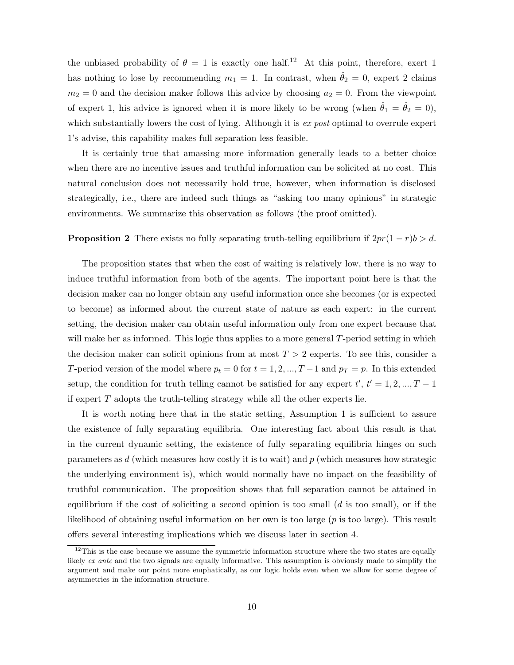the unbiased probability of  $\theta = 1$  is exactly one half.<sup>12</sup> At this point, therefore, exert 1 has nothing to lose by recommending  $m_1 = 1$ . In contrast, when  $\hat{\theta}_2 = 0$ , expert 2 claims  $m_2 = 0$  and the decision maker follows this advice by choosing  $a_2 = 0$ . From the viewpoint of expert 1, his advice is ignored when it is more likely to be wrong (when  $\hat{\theta}_1 = \hat{\theta}_2 = 0$ ), which substantially lowers the cost of lying. Although it is  $ex$  post optimal to overrule expert 1's advise, this capability makes full separation less feasible.

It is certainly true that amassing more information generally leads to a better choice when there are no incentive issues and truthful information can be solicited at no cost. This natural conclusion does not necessarily hold true, however, when information is disclosed strategically, i.e., there are indeed such things as "asking too many opinions" in strategic environments. We summarize this observation as follows (the proof omitted).

#### **Proposition 2** There exists no fully separating truth-telling equilibrium if  $2pr(1 - r)b > d$ .

The proposition states that when the cost of waiting is relatively low, there is no way to induce truthful information from both of the agents. The important point here is that the decision maker can no longer obtain any useful information once she becomes (or is expected to become) as informed about the current state of nature as each expert: in the current setting, the decision maker can obtain useful information only from one expert because that will make her as informed. This logic thus applies to a more general T-period setting in which the decision maker can solicit opinions from at most  $T > 2$  experts. To see this, consider a T-period version of the model where  $p_t = 0$  for  $t = 1, 2, ..., T-1$  and  $p_T = p$ . In this extended setup, the condition for truth telling cannot be satisfied for any expert  $t', t' = 1, 2, ..., T - 1$ if expert  $T$  adopts the truth-telling strategy while all the other experts lie.

It is worth noting here that in the static setting, Assumption 1 is sufficient to assure the existence of fully separating equilibria. One interesting fact about this result is that in the current dynamic setting, the existence of fully separating equilibria hinges on such parameters as  $d$  (which measures how costly it is to wait) and  $p$  (which measures how strategic the underlying environment is), which would normally have no impact on the feasibility of truthful communication. The proposition shows that full separation cannot be attained in equilibrium if the cost of soliciting a second opinion is too small  $(d \text{ is too small})$ , or if the likelihood of obtaining useful information on her own is too large  $(p$  is too large). This result offers several interesting implications which we discuss later in section 4.

 $12$ This is the case because we assume the symmetric information structure where the two states are equally likely ex ante and the two signals are equally informative. This assumption is obviously made to simplify the argument and make our point more emphatically, as our logic holds even when we allow for some degree of asymmetries in the information structure.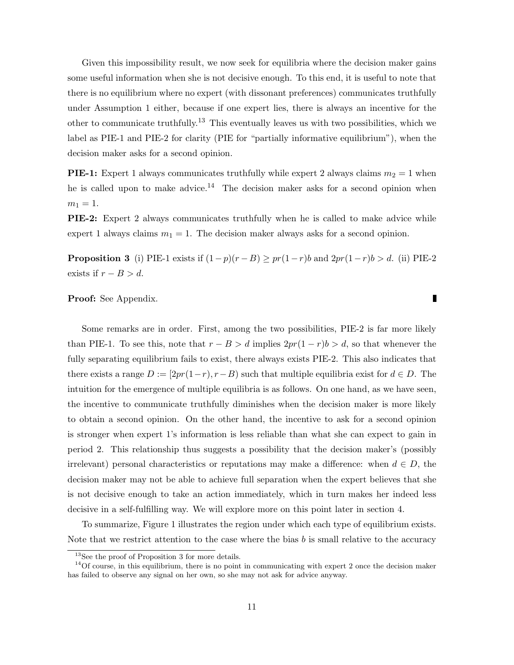Given this impossibility result, we now seek for equilibria where the decision maker gains some useful information when she is not decisive enough. To this end, it is useful to note that there is no equilibrium where no expert (with dissonant preferences) communicates truthfully under Assumption 1 either, because if one expert lies, there is always an incentive for the other to communicate truthfully.<sup>13</sup> This eventually leaves us with two possibilities, which we label as PIE-1 and PIE-2 for clarity (PIE for "partially informative equilibrium"), when the decision maker asks for a second opinion.

**PIE-1:** Expert 1 always communicates truthfully while expert 2 always claims  $m_2 = 1$  when he is called upon to make advice.<sup>14</sup> The decision maker asks for a second opinion when  $m_1 = 1.$ 

**PIE-2:** Expert 2 always communicates truthfully when he is called to make advice while expert 1 always claims  $m_1 = 1$ . The decision maker always asks for a second opinion.

**Proposition 3** (i) PIE-1 exists if  $(1-p)(r-B) \geq pr(1-r)b$  and  $2pr(1-r)b > d$ . (ii) PIE-2 exists if  $r - B > d$ .

Proof: See Appendix.

Some remarks are in order. First, among the two possibilities, PIE-2 is far more likely than PIE-1. To see this, note that  $r - B > d$  implies  $2pr(1 - r)b > d$ , so that whenever the fully separating equilibrium fails to exist, there always exists PIE-2. This also indicates that there exists a range  $D := [2pr(1-r), r-B)$  such that multiple equilibria exist for  $d \in D$ . The intuition for the emergence of multiple equilibria is as follows. On one hand, as we have seen, the incentive to communicate truthfully diminishes when the decision maker is more likely to obtain a second opinion. On the other hand, the incentive to ask for a second opinion is stronger when expert 1's information is less reliable than what she can expect to gain in period 2. This relationship thus suggests a possibility that the decision maker's (possibly irrelevant) personal characteristics or reputations may make a difference: when  $d \in D$ , the decision maker may not be able to achieve full separation when the expert believes that she is not decisive enough to take an action immediately, which in turn makes her indeed less decisive in a self-fulfilling way. We will explore more on this point later in section 4.

To summarize, Figure 1 illustrates the region under which each type of equilibrium exists. Note that we restrict attention to the case where the bias b is small relative to the accuracy

П

<sup>&</sup>lt;sup>13</sup>See the proof of Proposition 3 for more details.

 $14$ Of course, in this equilibrium, there is no point in communicating with expert 2 once the decision maker has failed to observe any signal on her own, so she may not ask for advice anyway.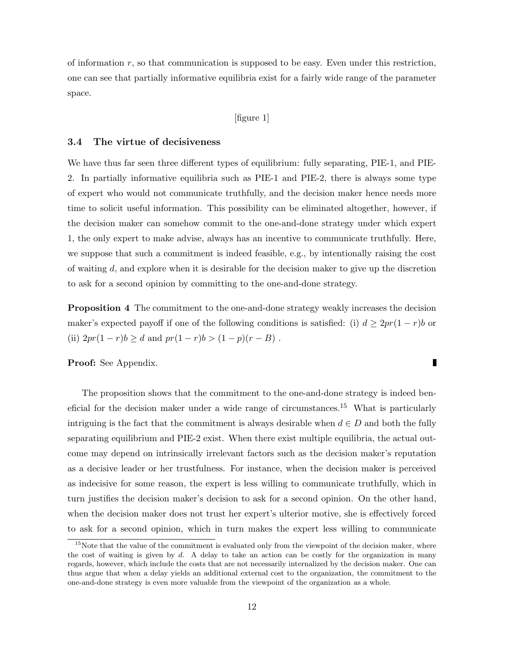of information  $r$ , so that communication is supposed to be easy. Even under this restriction, one can see that partially informative equilibria exist for a fairly wide range of the parameter space.

#### [figure 1]

#### 3.4 The virtue of decisiveness

We have thus far seen three different types of equilibrium: fully separating, PIE-1, and PIE-2. In partially informative equilibria such as PIE-1 and PIE-2, there is always some type of expert who would not communicate truthfully, and the decision maker hence needs more time to solicit useful information. This possibility can be eliminated altogether, however, if the decision maker can somehow commit to the one-and-done strategy under which expert 1, the only expert to make advise, always has an incentive to communicate truthfully. Here, we suppose that such a commitment is indeed feasible, e.g., by intentionally raising the cost of waiting  $d$ , and explore when it is desirable for the decision maker to give up the discretion to ask for a second opinion by committing to the one-and-done strategy.

**Proposition 4** The commitment to the one-and-done strategy weakly increases the decision maker's expected payoff if one of the following conditions is satisfied: (i)  $d \geq 2pr(1-r)b$  or (ii)  $2pr(1 - r)b \ge d$  and  $pr(1 - r)b > (1 - p)(r - B)$ .

 $\blacksquare$ 

Proof: See Appendix.

The proposition shows that the commitment to the one-and-done strategy is indeed beneficial for the decision maker under a wide range of circumstances.<sup>15</sup> What is particularly intriguing is the fact that the commitment is always desirable when  $d \in D$  and both the fully separating equilibrium and PIE-2 exist. When there exist multiple equilibria, the actual outcome may depend on intrinsically irrelevant factors such as the decision maker's reputation as a decisive leader or her trustfulness. For instance, when the decision maker is perceived as indecisive for some reason, the expert is less willing to communicate truthfully, which in turn justifies the decision maker's decision to ask for a second opinion. On the other hand, when the decision maker does not trust her expert's ulterior motive, she is effectively forced to ask for a second opinion, which in turn makes the expert less willing to communicate

 $15$ Note that the value of the commitment is evaluated only from the viewpoint of the decision maker, where the cost of waiting is given by  $d$ . A delay to take an action can be costly for the organization in many regards, however, which include the costs that are not necessarily internalized by the decision maker. One can thus argue that when a delay yields an additional external cost to the organization, the commitment to the one-and-done strategy is even more valuable from the viewpoint of the organization as a whole.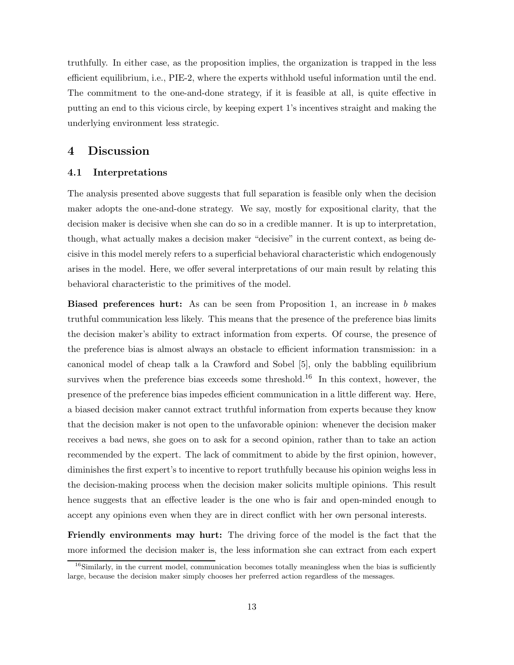truthfully. In either case, as the proposition implies, the organization is trapped in the less efficient equilibrium, i.e., PIE-2, where the experts withhold useful information until the end. The commitment to the one-and-done strategy, if it is feasible at all, is quite effective in putting an end to this vicious circle, by keeping expert 1's incentives straight and making the underlying environment less strategic.

## 4 Discussion

#### 4.1 Interpretations

The analysis presented above suggests that full separation is feasible only when the decision maker adopts the one-and-done strategy. We say, mostly for expositional clarity, that the decision maker is decisive when she can do so in a credible manner. It is up to interpretation, though, what actually makes a decision maker "decisive" in the current context, as being decisive in this model merely refers to a superficial behavioral characteristic which endogenously arises in the model. Here, we offer several interpretations of our main result by relating this behavioral characteristic to the primitives of the model.

Biased preferences hurt: As can be seen from Proposition 1, an increase in b makes truthful communication less likely. This means that the presence of the preference bias limits the decision maker's ability to extract information from experts. Of course, the presence of the preference bias is almost always an obstacle to efficient information transmission: in a canonical model of cheap talk a la Crawford and Sobel [5], only the babbling equilibrium survives when the preference bias exceeds some threshold.<sup>16</sup> In this context, however, the presence of the preference bias impedes efficient communication in a little different way. Here, a biased decision maker cannot extract truthful information from experts because they know that the decision maker is not open to the unfavorable opinion: whenever the decision maker receives a bad news, she goes on to ask for a second opinion, rather than to take an action recommended by the expert. The lack of commitment to abide by the first opinion, however, diminishes the first expert's to incentive to report truthfully because his opinion weighs less in the decision-making process when the decision maker solicits multiple opinions. This result hence suggests that an effective leader is the one who is fair and open-minded enough to accept any opinions even when they are in direct conflict with her own personal interests.

Friendly environments may hurt: The driving force of the model is the fact that the more informed the decision maker is, the less information she can extract from each expert

 $16$ Similarly, in the current model, communication becomes totally meaningless when the bias is sufficiently large, because the decision maker simply chooses her preferred action regardless of the messages.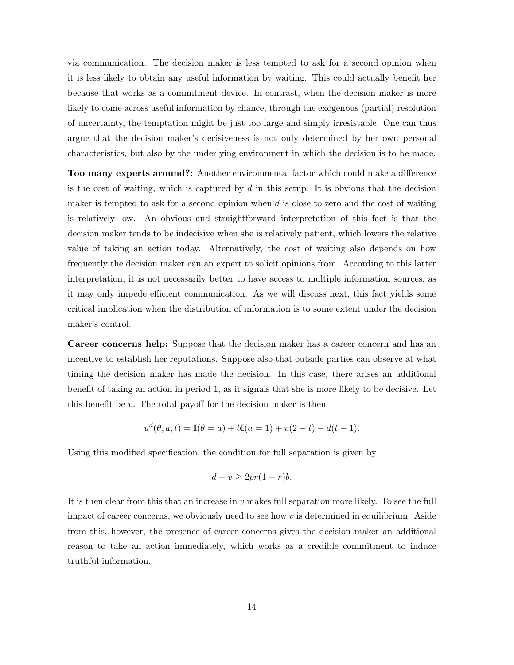via communication. The decision maker is less tempted to ask for a second opinion when it is less likely to obtain any useful information by waiting. This could actually benefit her because that works as a commitment device. In contrast, when the decision maker is more likely to come across useful information by chance, through the exogenous (partial) resolution of uncertainty, the temptation might be just too large and simply irresistable. One can thus argue that the decision maker's decisiveness is not only determined by her own personal characteristics, but also by the underlying environment in which the decision is to be made.

Too many experts around?: Another environmental factor which could make a difference is the cost of waiting, which is captured by  $d$  in this setup. It is obvious that the decision maker is tempted to ask for a second opinion when  $d$  is close to zero and the cost of waiting is relatively low. An obvious and straightforward interpretation of this fact is that the decision maker tends to be indecisive when she is relatively patient, which lowers the relative value of taking an action today. Alternatively, the cost of waiting also depends on how frequently the decision maker can an expert to solicit opinions from. According to this latter interpretation, it is not necessarily better to have access to multiple information sources, as it may only impede efficient communication. As we will discuss next, this fact yields some critical implication when the distribution of information is to some extent under the decision maker's control.

Career concerns help: Suppose that the decision maker has a career concern and has an incentive to establish her reputations. Suppose also that outside parties can observe at what timing the decision maker has made the decision. In this case, there arises an additional benefit of taking an action in period 1, as it signals that she is more likely to be decisive. Let this benefit be  $v$ . The total payoff for the decision maker is then

$$
u^{d}(\theta, a, t) = \mathbb{I}(\theta = a) + b\mathbb{I}(a = 1) + v(2 - t) - d(t - 1).
$$

Using this modified specification, the condition for full separation is given by

$$
d + v \ge 2pr(1 - r)b.
$$

It is then clear from this that an increase in v makes full separation more likely. To see the full impact of career concerns, we obviously need to see how  $v$  is determined in equilibrium. Aside from this, however, the presence of career concerns gives the decision maker an additional reason to take an action immediately, which works as a credible commitment to induce truthful information.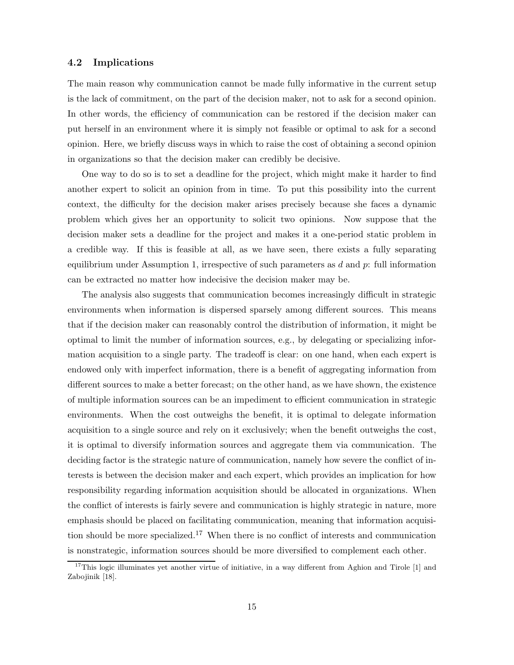#### 4.2 Implications

The main reason why communication cannot be made fully informative in the current setup is the lack of commitment, on the part of the decision maker, not to ask for a second opinion. In other words, the efficiency of communication can be restored if the decision maker can put herself in an environment where it is simply not feasible or optimal to ask for a second opinion. Here, we briefly discuss ways in which to raise the cost of obtaining a second opinion in organizations so that the decision maker can credibly be decisive.

One way to do so is to set a deadline for the project, which might make it harder to find another expert to solicit an opinion from in time. To put this possibility into the current context, the difficulty for the decision maker arises precisely because she faces a dynamic problem which gives her an opportunity to solicit two opinions. Now suppose that the decision maker sets a deadline for the project and makes it a one-period static problem in a credible way. If this is feasible at all, as we have seen, there exists a fully separating equilibrium under Assumption 1, irrespective of such parameters as  $d$  and  $p$ : full information can be extracted no matter how indecisive the decision maker may be.

The analysis also suggests that communication becomes increasingly difficult in strategic environments when information is dispersed sparsely among different sources. This means that if the decision maker can reasonably control the distribution of information, it might be optimal to limit the number of information sources, e.g., by delegating or specializing information acquisition to a single party. The tradeoff is clear: on one hand, when each expert is endowed only with imperfect information, there is a benefit of aggregating information from different sources to make a better forecast; on the other hand, as we have shown, the existence of multiple information sources can be an impediment to efficient communication in strategic environments. When the cost outweighs the benefit, it is optimal to delegate information acquisition to a single source and rely on it exclusively; when the benefit outweighs the cost, it is optimal to diversify information sources and aggregate them via communication. The deciding factor is the strategic nature of communication, namely how severe the conflict of interests is between the decision maker and each expert, which provides an implication for how responsibility regarding information acquisition should be allocated in organizations. When the conflict of interests is fairly severe and communication is highly strategic in nature, more emphasis should be placed on facilitating communication, meaning that information acquisition should be more specialized.<sup>17</sup> When there is no conflict of interests and communication is nonstrategic, information sources should be more diversified to complement each other.

<sup>&</sup>lt;sup>17</sup>This logic illuminates yet another virtue of initiative, in a way different from Aghion and Tirole  $[1]$  and Zabojinik [18].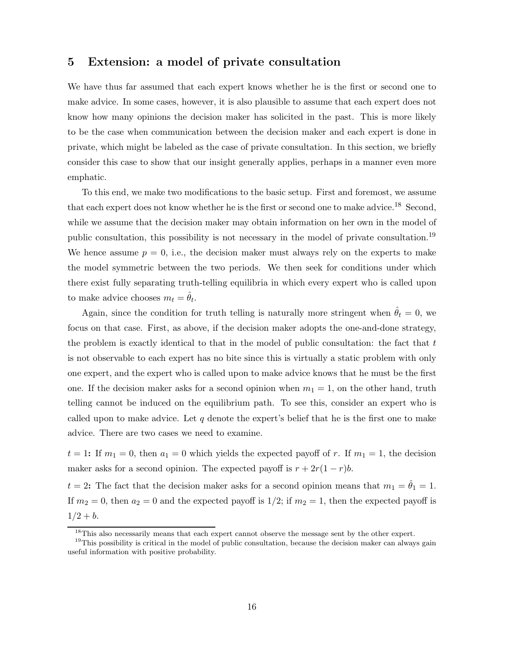## 5 Extension: a model of private consultation

We have thus far assumed that each expert knows whether he is the first or second one to make advice. In some cases, however, it is also plausible to assume that each expert does not know how many opinions the decision maker has solicited in the past. This is more likely to be the case when communication between the decision maker and each expert is done in private, which might be labeled as the case of private consultation. In this section, we briefly consider this case to show that our insight generally applies, perhaps in a manner even more emphatic.

To this end, we make two modifications to the basic setup. First and foremost, we assume that each expert does not know whether he is the first or second one to make advice.<sup>18</sup> Second, while we assume that the decision maker may obtain information on her own in the model of public consultation, this possibility is not necessary in the model of private consultation.<sup>19</sup> We hence assume  $p = 0$ , i.e., the decision maker must always rely on the experts to make the model symmetric between the two periods. We then seek for conditions under which there exist fully separating truth-telling equilibria in which every expert who is called upon to make advice chooses  $m_t = \hat{\theta}_t$ .

Again, since the condition for truth telling is naturally more stringent when  $\hat{\theta}_t = 0$ , we focus on that case. First, as above, if the decision maker adopts the one-and-done strategy, the problem is exactly identical to that in the model of public consultation: the fact that  $t$ is not observable to each expert has no bite since this is virtually a static problem with only one expert, and the expert who is called upon to make advice knows that he must be the first one. If the decision maker asks for a second opinion when  $m_1 = 1$ , on the other hand, truth telling cannot be induced on the equilibrium path. To see this, consider an expert who is called upon to make advice. Let  $q$  denote the expert's belief that he is the first one to make advice. There are two cases we need to examine.

 $t = 1$ : If  $m_1 = 0$ , then  $a_1 = 0$  which yields the expected payoff of r. If  $m_1 = 1$ , the decision maker asks for a second opinion. The expected payoff is  $r + 2r(1 - r)b$ .

 $t = 2$ : The fact that the decision maker asks for a second opinion means that  $m_1 = \hat{\theta}_1 = 1$ . If  $m_2 = 0$ , then  $a_2 = 0$  and the expected payoff is  $1/2$ ; if  $m_2 = 1$ , then the expected payoff is  $1/2 + b$ .

<sup>&</sup>lt;sup>18</sup>This also necessarily means that each expert cannot observe the message sent by the other expert.

<sup>&</sup>lt;sup>19</sup>This possibility is critical in the model of public consultation, because the decision maker can always gain useful information with positive probability.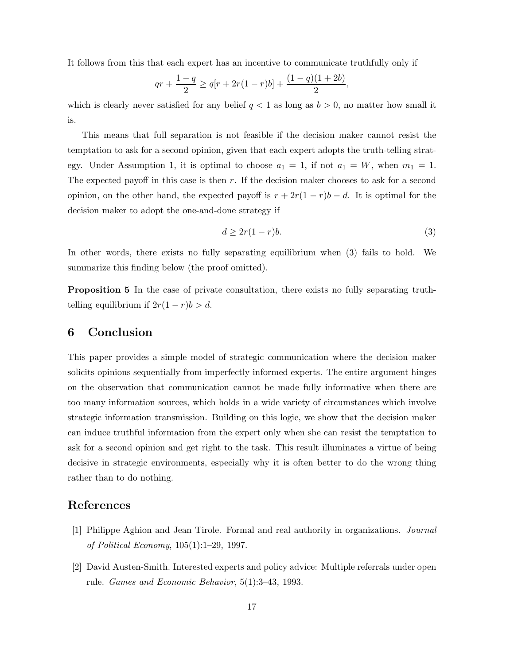It follows from this that each expert has an incentive to communicate truthfully only if

$$
qr + \frac{1-q}{2} \ge q[r + 2r(1-r)b] + \frac{(1-q)(1+2b)}{2},
$$

which is clearly never satisfied for any belief  $q < 1$  as long as  $b > 0$ , no matter how small it is.

This means that full separation is not feasible if the decision maker cannot resist the temptation to ask for a second opinion, given that each expert adopts the truth-telling strategy. Under Assumption 1, it is optimal to choose  $a_1 = 1$ , if not  $a_1 = W$ , when  $m_1 = 1$ . The expected payoff in this case is then  $r$ . If the decision maker chooses to ask for a second opinion, on the other hand, the expected payoff is  $r + 2r(1 - r)b - d$ . It is optimal for the decision maker to adopt the one-and-done strategy if

$$
d \ge 2r(1-r)b.\tag{3}
$$

In other words, there exists no fully separating equilibrium when (3) fails to hold. We summarize this finding below (the proof omitted).

Proposition 5 In the case of private consultation, there exists no fully separating truthtelling equilibrium if  $2r(1 - r)b > d$ .

## 6 Conclusion

This paper provides a simple model of strategic communication where the decision maker solicits opinions sequentially from imperfectly informed experts. The entire argument hinges on the observation that communication cannot be made fully informative when there are too many information sources, which holds in a wide variety of circumstances which involve strategic information transmission. Building on this logic, we show that the decision maker can induce truthful information from the expert only when she can resist the temptation to ask for a second opinion and get right to the task. This result illuminates a virtue of being decisive in strategic environments, especially why it is often better to do the wrong thing rather than to do nothing.

## References

- [1] Philippe Aghion and Jean Tirole. Formal and real authority in organizations. Journal of Political Economy, 105(1):1–29, 1997.
- [2] David Austen-Smith. Interested experts and policy advice: Multiple referrals under open rule. Games and Economic Behavior, 5(1):3–43, 1993.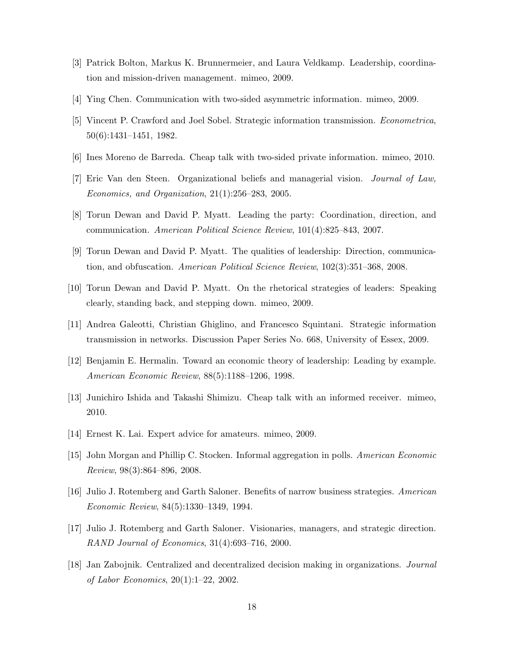- [3] Patrick Bolton, Markus K. Brunnermeier, and Laura Veldkamp. Leadership, coordination and mission-driven management. mimeo, 2009.
- [4] Ying Chen. Communication with two-sided asymmetric information. mimeo, 2009.
- [5] Vincent P. Crawford and Joel Sobel. Strategic information transmission. Econometrica, 50(6):1431–1451, 1982.
- [6] Ines Moreno de Barreda. Cheap talk with two-sided private information. mimeo, 2010.
- [7] Eric Van den Steen. Organizational beliefs and managerial vision. Journal of Law, Economics, and Organization, 21(1):256–283, 2005.
- [8] Torun Dewan and David P. Myatt. Leading the party: Coordination, direction, and communication. American Political Science Review, 101(4):825–843, 2007.
- [9] Torun Dewan and David P. Myatt. The qualities of leadership: Direction, communication, and obfuscation. American Political Science Review, 102(3):351–368, 2008.
- [10] Torun Dewan and David P. Myatt. On the rhetorical strategies of leaders: Speaking clearly, standing back, and stepping down. mimeo, 2009.
- [11] Andrea Galeotti, Christian Ghiglino, and Francesco Squintani. Strategic information transmission in networks. Discussion Paper Series No. 668, University of Essex, 2009.
- [12] Benjamin E. Hermalin. Toward an economic theory of leadership: Leading by example. American Economic Review, 88(5):1188–1206, 1998.
- [13] Junichiro Ishida and Takashi Shimizu. Cheap talk with an informed receiver. mimeo, 2010.
- [14] Ernest K. Lai. Expert advice for amateurs. mimeo, 2009.
- [15] John Morgan and Phillip C. Stocken. Informal aggregation in polls. American Economic Review, 98(3):864–896, 2008.
- [16] Julio J. Rotemberg and Garth Saloner. Benefits of narrow business strategies. American Economic Review, 84(5):1330–1349, 1994.
- [17] Julio J. Rotemberg and Garth Saloner. Visionaries, managers, and strategic direction. RAND Journal of Economics, 31(4):693–716, 2000.
- [18] Jan Zabojnik. Centralized and decentralized decision making in organizations. Journal of Labor Economics, 20(1):1–22, 2002.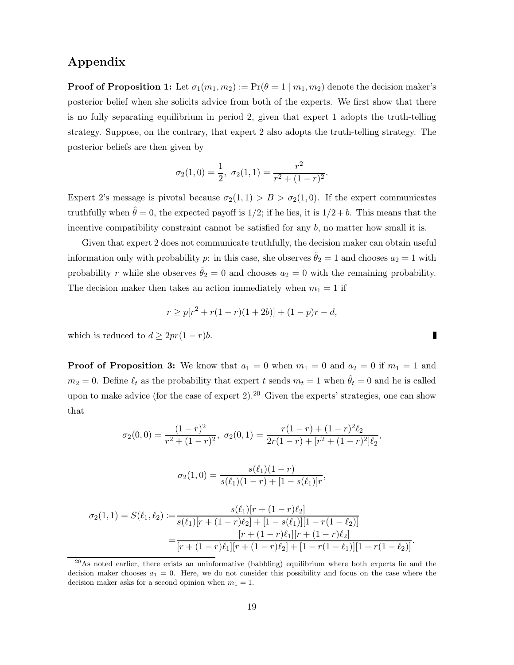## Appendix

**Proof of Proposition 1:** Let  $\sigma_1(m_1, m_2) := \Pr(\theta = 1 \mid m_1, m_2)$  denote the decision maker's posterior belief when she solicits advice from both of the experts. We first show that there is no fully separating equilibrium in period 2, given that expert 1 adopts the truth-telling strategy. Suppose, on the contrary, that expert 2 also adopts the truth-telling strategy. The posterior beliefs are then given by

$$
\sigma_2(1,0) = \frac{1}{2}, \ \sigma_2(1,1) = \frac{r^2}{r^2 + (1-r)^2}.
$$

Expert 2's message is pivotal because  $\sigma_2(1,1) > B > \sigma_2(1,0)$ . If the expert communicates truthfully when  $\hat{\theta} = 0$ , the expected payoff is 1/2; if he lies, it is 1/2+b. This means that the incentive compatibility constraint cannot be satisfied for any b, no matter how small it is.

Given that expert 2 does not communicate truthfully, the decision maker can obtain useful information only with probability p: in this case, she observes  $\hat{\theta}_2 = 1$  and chooses  $a_2 = 1$  with probability r while she observes  $\hat{\theta}_2 = 0$  and chooses  $a_2 = 0$  with the remaining probability. The decision maker then takes an action immediately when  $m_1 = 1$  if

$$
r \ge p[r^2 + r(1 - r)(1 + 2b)] + (1 - p)r - d,
$$

which is reduced to  $d \geq 2pr(1-r)b$ .

**Proof of Proposition 3:** We know that  $a_1 = 0$  when  $m_1 = 0$  and  $a_2 = 0$  if  $m_1 = 1$  and  $m_2 = 0$ . Define  $\ell_t$  as the probability that expert t sends  $m_t = 1$  when  $\hat{\theta}_t = 0$  and he is called upon to make advice (for the case of expert 2).<sup>20</sup> Given the experts' strategies, one can show that

$$
\sigma_2(0,0) = \frac{(1-r)^2}{r^2 + (1-r)^2}, \ \sigma_2(0,1) = \frac{r(1-r) + (1-r)^2 \ell_2}{2r(1-r) + [r^2 + (1-r)^2] \ell_2},
$$

$$
\sigma_2(1,0) = \frac{s(\ell_1)(1-r)}{s(\ell_1)(1-r) + [1-s(\ell_1)]r},
$$

$$
\sigma_2(1,1) = S(\ell_1, \ell_2) := \frac{s(\ell_1)[r + (1-r)\ell_2]}{(1-r) + [1-s(\ell_1)]! (1-r) \ell_2]}
$$

$$
\sigma_2(1,1) = S(\ell_1,\ell_2) := \frac{s(\ell_1)[r + (1 - r)\ell_2]}{s(\ell_1)[r + (1 - r)\ell_2] + [1 - s(\ell_1)][1 - r(1 - \ell_2)]}
$$

$$
= \frac{[r + (1 - r)\ell_1][r + (1 - r)\ell_2]}{[r + (1 - r)\ell_1][r + (1 - r)\ell_2] + [1 - r(1 - \ell_1)][1 - r(1 - \ell_2)]}.
$$

 $^{20}$ As noted earlier, there exists an uninformative (babbling) equilibrium where both experts lie and the decision maker chooses  $a_1 = 0$ . Here, we do not consider this possibility and focus on the case where the decision maker asks for a second opinion when  $m_1 = 1$ .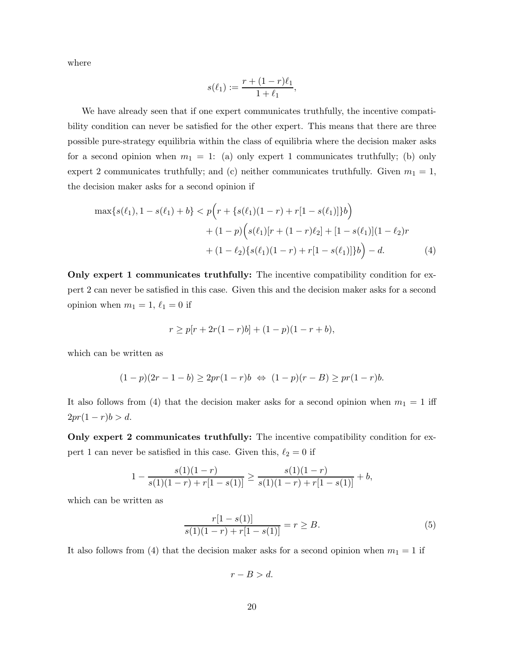where

$$
s(\ell_1) := \frac{r + (1 - r)\ell_1}{1 + \ell_1},
$$

We have already seen that if one expert communicates truthfully, the incentive compatibility condition can never be satisfied for the other expert. This means that there are three possible pure-strategy equilibria within the class of equilibria where the decision maker asks for a second opinion when  $m_1 = 1$ : (a) only expert 1 communicates truthfully; (b) only expert 2 communicates truthfully; and (c) neither communicates truthfully. Given  $m_1 = 1$ , the decision maker asks for a second opinion if

$$
\max\{s(\ell_1), 1 - s(\ell_1) + b\} < p\left(r + \{s(\ell_1)(1 - r) + r[1 - s(\ell_1)]\}b\right) \\
\quad + (1 - p)\left(s(\ell_1)[r + (1 - r)\ell_2] + [1 - s(\ell_1)](1 - \ell_2)r\n+ (1 - \ell_2)\{s(\ell_1)(1 - r) + r[1 - s(\ell_1)]\}b\right) - d.\n \tag{4}
$$

Only expert 1 communicates truthfully: The incentive compatibility condition for expert 2 can never be satisfied in this case. Given this and the decision maker asks for a second opinion when  $m_1 = 1, \ell_1 = 0$  if

$$
r \ge p[r + 2r(1 - r)b] + (1 - p)(1 - r + b),
$$

which can be written as

$$
(1-p)(2r-1-b) \ge 2pr(1-r)b \iff (1-p)(r-B) \ge pr(1-r)b.
$$

It also follows from (4) that the decision maker asks for a second opinion when  $m_1 = 1$  iff  $2pr(1 - r)b > d.$ 

Only expert 2 communicates truthfully: The incentive compatibility condition for expert 1 can never be satisfied in this case. Given this,  $\ell_2 = 0$  if

$$
1 - \frac{s(1)(1-r)}{s(1)(1-r) + r[1-s(1)]} \ge \frac{s(1)(1-r)}{s(1)(1-r) + r[1-s(1)]} + b,
$$

which can be written as

$$
\frac{r[1-s(1)]}{s(1)(1-r) + r[1-s(1)]} = r \ge B.
$$
\n(5)

It also follows from (4) that the decision maker asks for a second opinion when  $m_1 = 1$  if

 $r - B > d$ .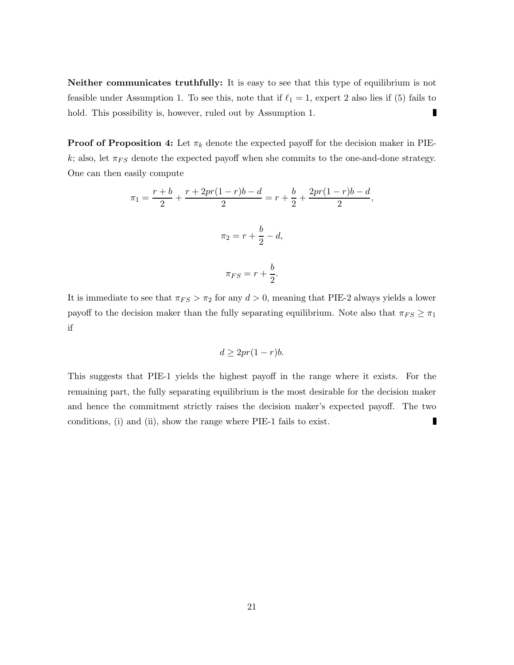Neither communicates truthfully: It is easy to see that this type of equilibrium is not feasible under Assumption 1. To see this, note that if  $\ell_1 = 1$ , expert 2 also lies if (5) fails to П hold. This possibility is, however, ruled out by Assumption 1.

**Proof of Proposition 4:** Let  $\pi_k$  denote the expected payoff for the decision maker in PIEk; also, let  $\pi_{FS}$  denote the expected payoff when she commits to the one-and-done strategy. One can then easily compute

$$
\pi_1 = \frac{r+b}{2} + \frac{r+2pr(1-r)b - d}{2} = r + \frac{b}{2} + \frac{2pr(1-r)b - d}{2},
$$
  

$$
\pi_2 = r + \frac{b}{2} - d,
$$
  

$$
\pi_{FS} = r + \frac{b}{2}.
$$

It is immediate to see that  $\pi_{FS} > \pi_2$  for any  $d > 0$ , meaning that PIE-2 always yields a lower payoff to the decision maker than the fully separating equilibrium. Note also that  $\pi_{FS} \geq \pi_1$ if

$$
d \ge 2pr(1-r)b.
$$

This suggests that PIE-1 yields the highest payoff in the range where it exists. For the remaining part, the fully separating equilibrium is the most desirable for the decision maker and hence the commitment strictly raises the decision maker's expected payoff. The two П conditions, (i) and (ii), show the range where PIE-1 fails to exist.